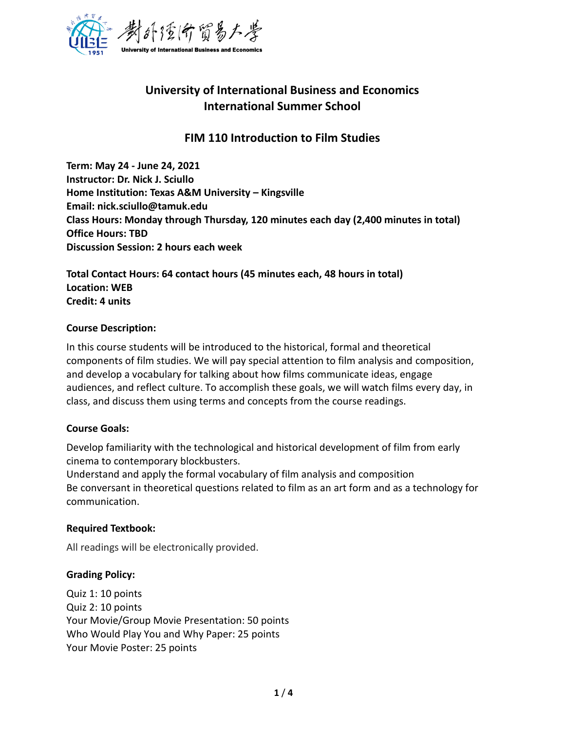

# **University of International Business and Economics International Summer School**

# **FIM 110 Introduction to Film Studies**

**Term: May 24 - June 24, 2021 Instructor: Dr. Nick J. Sciullo Home Institution: Texas A&M University – Kingsville Email: nick.sciullo@tamuk.edu Class Hours: Monday through Thursday, 120 minutes each day (2,400 minutes in total) Office Hours: TBD Discussion Session: 2 hours each week** 

**Total Contact Hours: 64 contact hours (45 minutes each, 48 hours in total) Location: WEB Credit: 4 units**

#### **Course Description:**

In this course students will be introduced to the historical, formal and theoretical components of film studies. We will pay special attention to film analysis and composition, and develop a vocabulary for talking about how films communicate ideas, engage audiences, and reflect culture. To accomplish these goals, we will watch films every day, in class, and discuss them using terms and concepts from the course readings.

#### **Course Goals:**

Develop familiarity with the technological and historical development of film from early cinema to contemporary blockbusters.

Understand and apply the formal vocabulary of film analysis and composition Be conversant in theoretical questions related to film as an art form and as a technology for communication.

#### **Required Textbook:**

All readings will be electronically provided.

#### **Grading Policy:**

Quiz 1: 10 points Quiz 2: 10 points Your Movie/Group Movie Presentation: 50 points Who Would Play You and Why Paper: 25 points Your Movie Poster: 25 points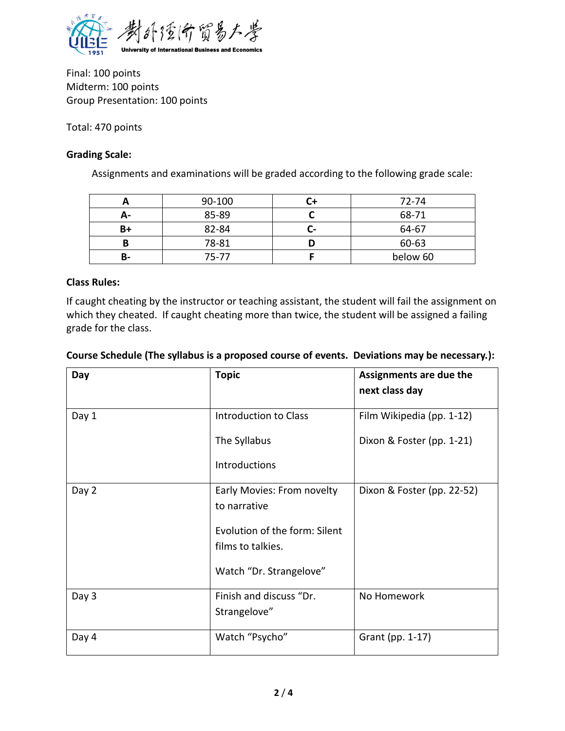

Final: 100 points Midterm: 100 points Group Presentation: 100 points

Total: 470 points

# **Grading Scale:**

Assignments and examinations will be graded according to the following grade scale:

|    | 90-100 |   | 72-74    |
|----|--------|---|----------|
| А- | 85-89  |   | 68-71    |
| B+ | 82-84  | - | 64-67    |
| B  | 78-81  |   | 60-63    |
| в- | 75-77  |   | below 60 |

## **Class Rules:**

If caught cheating by the instructor or teaching assistant, the student will fail the assignment on which they cheated. If caught cheating more than twice, the student will be assigned a failing grade for the class.

| Day   | <b>Topic</b>                                       | Assignments are due the<br>next class day |
|-------|----------------------------------------------------|-------------------------------------------|
| Day 1 | Introduction to Class                              | Film Wikipedia (pp. 1-12)                 |
|       | The Syllabus                                       | Dixon & Foster (pp. 1-21)                 |
|       | Introductions                                      |                                           |
| Day 2 | Early Movies: From novelty<br>to narrative         | Dixon & Foster (pp. 22-52)                |
|       | Evolution of the form: Silent<br>films to talkies. |                                           |
|       | Watch "Dr. Strangelove"                            |                                           |
| Day 3 | Finish and discuss "Dr.<br>Strangelove"            | No Homework                               |
| Day 4 | Watch "Psycho"                                     | Grant (pp. 1-17)                          |

## **Course Schedule (The syllabus is a proposed course of events. Deviations may be necessary.):**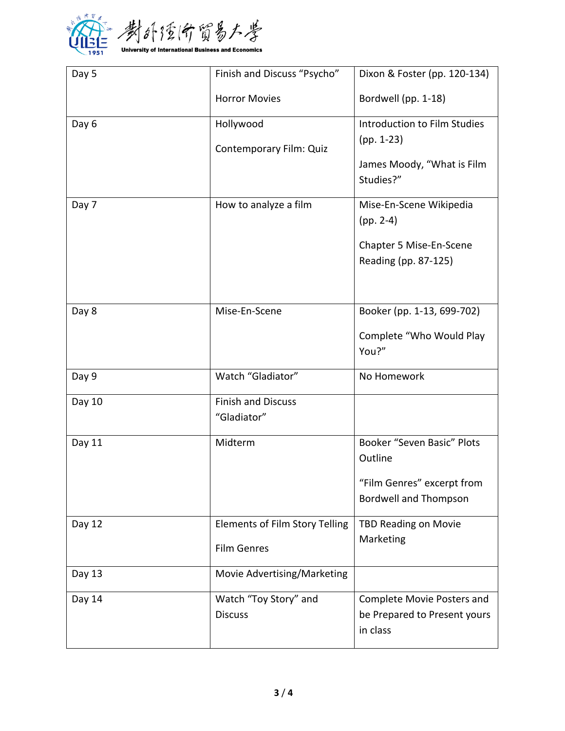

| Day 5  | Finish and Discuss "Psycho"           | Dixon & Foster (pp. 120-134)             |
|--------|---------------------------------------|------------------------------------------|
|        | <b>Horror Movies</b>                  | Bordwell (pp. 1-18)                      |
| Day 6  | Hollywood                             | Introduction to Film Studies             |
|        | Contemporary Film: Quiz               | $(pp. 1-23)$                             |
|        |                                       | James Moody, "What is Film<br>Studies?"  |
| Day 7  | How to analyze a film                 | Mise-En-Scene Wikipedia                  |
|        |                                       | $(pp. 2-4)$                              |
|        |                                       | Chapter 5 Mise-En-Scene                  |
|        |                                       | Reading (pp. 87-125)                     |
|        |                                       |                                          |
| Day 8  | Mise-En-Scene                         | Booker (pp. 1-13, 699-702)               |
|        |                                       | Complete "Who Would Play                 |
|        |                                       | You?"                                    |
| Day 9  | Watch "Gladiator"                     | No Homework                              |
| Day 10 | <b>Finish and Discuss</b>             |                                          |
|        | "Gladiator"                           |                                          |
| Day 11 | Midterm                               | Booker "Seven Basic" Plots               |
|        |                                       | Outline                                  |
|        |                                       | "Film Genres" excerpt from               |
|        |                                       | <b>Bordwell and Thompson</b>             |
| Day 12 | <b>Elements of Film Story Telling</b> | <b>TBD Reading on Movie</b>              |
|        | <b>Film Genres</b>                    | Marketing                                |
| Day 13 | Movie Advertising/Marketing           |                                          |
| Day 14 | Watch "Toy Story" and                 | Complete Movie Posters and               |
|        | <b>Discuss</b>                        | be Prepared to Present yours<br>in class |
|        |                                       |                                          |